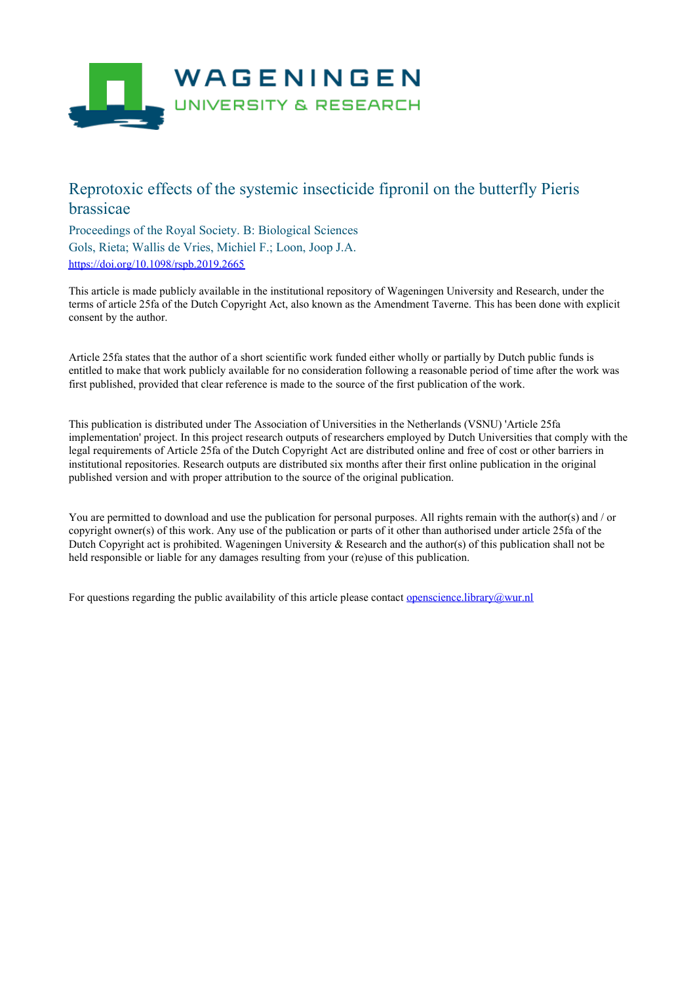

# Reprotoxic effects of the systemic insecticide fipronil on the butterfly Pieris brassicae

Proceedings of the Royal Society. B: Biological Sciences Gols, Rieta; Wallis de Vries, Michiel F.; Loon, Joop J.A. <https://doi.org/10.1098/rspb.2019.2665>

This article is made publicly available in the institutional repository of Wageningen University and Research, under the terms of article 25fa of the Dutch Copyright Act, also known as the Amendment Taverne. This has been done with explicit consent by the author.

Article 25fa states that the author of a short scientific work funded either wholly or partially by Dutch public funds is entitled to make that work publicly available for no consideration following a reasonable period of time after the work was first published, provided that clear reference is made to the source of the first publication of the work.

This publication is distributed under The Association of Universities in the Netherlands (VSNU) 'Article 25fa implementation' project. In this project research outputs of researchers employed by Dutch Universities that comply with the legal requirements of Article 25fa of the Dutch Copyright Act are distributed online and free of cost or other barriers in institutional repositories. Research outputs are distributed six months after their first online publication in the original published version and with proper attribution to the source of the original publication.

You are permitted to download and use the publication for personal purposes. All rights remain with the author(s) and / or copyright owner(s) of this work. Any use of the publication or parts of it other than authorised under article 25fa of the Dutch Copyright act is prohibited. Wageningen University & Research and the author(s) of this publication shall not be held responsible or liable for any damages resulting from your (re)use of this publication.

For questions regarding the public availability of this article please contact [openscience.library@wur.nl](mailto:openscience.library@wur.nl)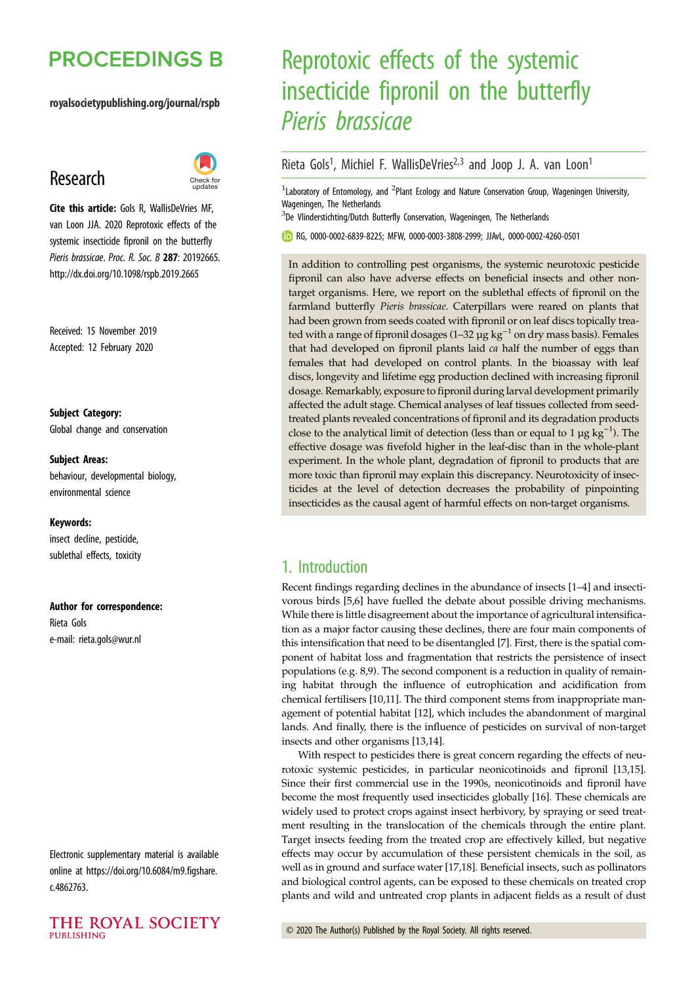# **PROCEEDINGS B**

#### royalsocietypublishing.org/journal/rspb

# Research



Cite this article: Gols R, WallisDeVries MF, van Loon JJA. 2020 Reprotoxic effects of the systemic insecticide fipronil on the butterfly Pieris brassicae. Proc. R. Soc. B 287: 20192665. http://dx.doi.org/10.1098/rspb.2019.2665

Received: 15 November 2019 Accepted: 12 February 2020

Subject Category: Global change and conservation

#### Subject Areas:

behaviour, developmental biology, environmental science

#### Keywords:

insect decline, pesticide, sublethal effects, toxicity

#### Author for correspondence:

Rieta Gols e-mail: [rieta.gols@wur.nl](mailto:rieta.gols@wur.nl)

Electronic supplementary material is available online at [https://doi.org/10.6084/m9.figshare.](https://doi.org/10.6084/m9.figshare.c.4862763) [c.4862763.](https://doi.org/10.6084/m9.figshare.c.4862763)



# Reprotoxic effects of the systemic insecticide fipronil on the butterfly Pieris brassicae

## Rieta Gols<sup>1</sup>, Michiel F. WallisDeVries<sup>2,3</sup> and Joop J. A. van Loon<sup>1</sup>

<sup>1</sup> Laboratory of Entomology, and <sup>2</sup>Plant Ecology and Nature Conservation Group, Wageningen University, Wageningen, The Netherlands

<sup>3</sup>De Vlinderstichting/Dutch Butterfly Conservation, Wageningen, The Netherlands

RG, [0000-0002-6839-8225](http://orcid.org/0000-0002-6839-8225); MFW, [0000-0003-3808-2999](http://orcid.org/0000-0003-3808-2999); JJAvL, [0000-0002-4260-0501](http://orcid.org/0000-0002-4260-0501)

In addition to controlling pest organisms, the systemic neurotoxic pesticide fipronil can also have adverse effects on beneficial insects and other nontarget organisms. Here, we report on the sublethal effects of fipronil on the farmland butterfly Pieris brassicae. Caterpillars were reared on plants that had been grown from seeds coated with fipronil or on leaf discs topically treated with a range of fipronil dosages (1–32 µg  $kg^{-1}$  on dry mass basis). Females that had developed on fipronil plants laid ca half the number of eggs than females that had developed on control plants. In the bioassay with leaf discs, longevity and lifetime egg production declined with increasing fipronil dosage. Remarkably, exposure to fipronil during larval development primarily affected the adult stage. Chemical analyses of leaf tissues collected from seedtreated plants revealed concentrations of fipronil and its degradation products close to the analytical limit of detection (less than or equal to 1  $\mu$ g kg<sup>-1</sup>). The effective dosage was fivefold higher in the leaf-disc than in the whole-plant experiment. In the whole plant, degradation of fipronil to products that are more toxic than fipronil may explain this discrepancy. Neurotoxicity of insecticides at the level of detection decreases the probability of pinpointing insecticides as the causal agent of harmful effects on non-target organisms.

## 1. Introduction

Recent findings regarding declines in the abundance of insects [\[1](#page-7-0)–[4\]](#page-7-0) and insectivorous birds [[5,6\]](#page-7-0) have fuelled the debate about possible driving mechanisms. While there is little disagreement about the importance of agricultural intensification as a major factor causing these declines, there are four main components of this intensification that need to be disentangled [\[7\]](#page-7-0). First, there is the spatial component of habitat loss and fragmentation that restricts the persistence of insect populations (e.g. [8,9](#page-7-0)). The second component is a reduction in quality of remaining habitat through the influence of eutrophication and acidification from chemical fertilisers [[10,11](#page-7-0)]. The third component stems from inappropriate management of potential habitat [\[12](#page-7-0)], which includes the abandonment of marginal lands. And finally, there is the influence of pesticides on survival of non-target insects and other organisms [\[13,14](#page-7-0)].

With respect to pesticides there is great concern regarding the effects of neurotoxic systemic pesticides, in particular neonicotinoids and fipronil [[13,15\]](#page-7-0). Since their first commercial use in the 1990s, neonicotinoids and fipronil have become the most frequently used insecticides globally [\[16](#page-7-0)]. These chemicals are widely used to protect crops against insect herbivory, by spraying or seed treatment resulting in the translocation of the chemicals through the entire plant. Target insects feeding from the treated crop are effectively killed, but negative effects may occur by accumulation of these persistent chemicals in the soil, as well as in ground and surface water [[17,18\]](#page-7-0). Beneficial insects, such as pollinators and biological control agents, can be exposed to these chemicals on treated crop plants and wild and untreated crop plants in adjacent fields as a result of dust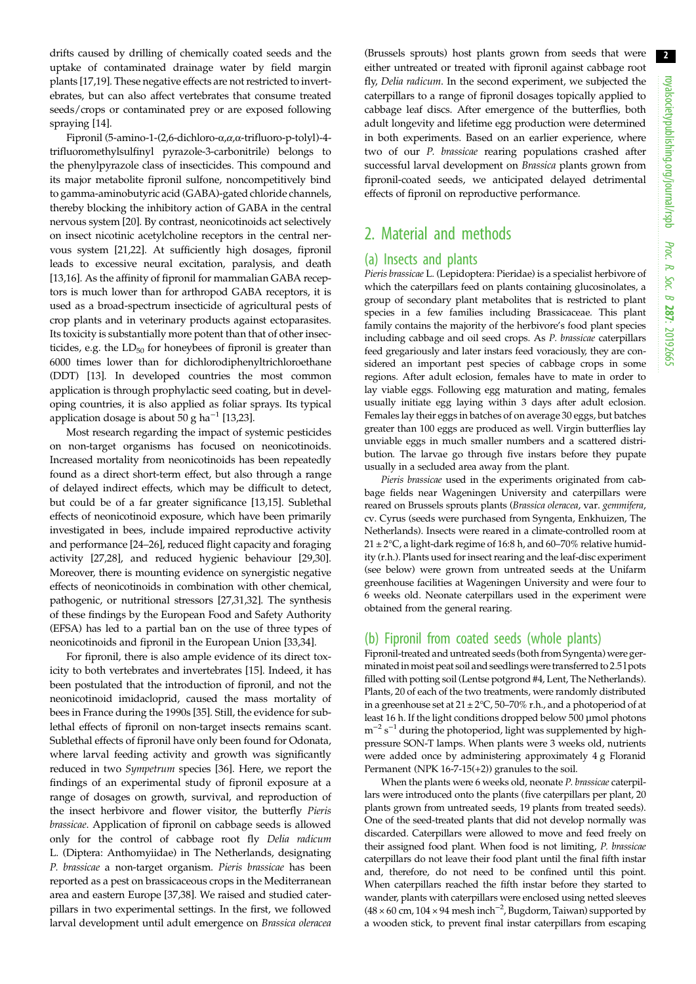2

drifts caused by drilling of chemically coated seeds and the uptake of contaminated drainage water by field margin plants [[17,19](#page-7-0)]. These negative effects are not restricted to invertebrates, but can also affect vertebrates that consume treated seeds/crops or contaminated prey or are exposed following spraying [[14\]](#page-7-0).

Fipronil (5-amino-1-(2,6-dichloro-α,α,α-trifluoro-p-tolyl)-4 trifluoromethylsulfinyl pyrazole-3-carbonitrile) belongs to the phenylpyrazole class of insecticides. This compound and its major metabolite fipronil sulfone, noncompetitively bind to gamma-aminobutyric acid (GABA)-gated chloride channels, thereby blocking the inhibitory action of GABA in the central nervous system [\[20](#page-7-0)]. By contrast, neonicotinoids act selectively on insect nicotinic acetylcholine receptors in the central nervous system [[21,22\]](#page-7-0). At sufficiently high dosages, fipronil leads to excessive neural excitation, paralysis, and death [\[13,16](#page-7-0)]. As the affinity of fipronil for mammalian GABA receptors is much lower than for arthropod GABA receptors, it is used as a broad-spectrum insecticide of agricultural pests of crop plants and in veterinary products against ectoparasites. Its toxicity is substantially more potent than that of other insecticides, e.g. the  $LD_{50}$  for honeybees of fipronil is greater than 6000 times lower than for dichlorodiphenyltrichloroethane (DDT) [\[13](#page-7-0)]. In developed countries the most common application is through prophylactic seed coating, but in developing countries, it is also applied as foliar sprays. Its typical application dosage is about  $50$  g ha<sup> $-1$ </sup> [\[13,23](#page-7-0)].

Most research regarding the impact of systemic pesticides on non-target organisms has focused on neonicotinoids. Increased mortality from neonicotinoids has been repeatedly found as a direct short-term effect, but also through a range of delayed indirect effects, which may be difficult to detect, but could be of a far greater significance [[13,15\]](#page-7-0). Sublethal effects of neonicotinoid exposure, which have been primarily investigated in bees, include impaired reproductive activity and performance [[24](#page-7-0)–[26](#page-7-0)], reduced flight capacity and foraging activity [\[27,28](#page-7-0)], and reduced hygienic behaviour [\[29,30](#page-7-0)]. Moreover, there is mounting evidence on synergistic negative effects of neonicotinoids in combination with other chemical, pathogenic, or nutritional stressors [\[27,31,32](#page-7-0)]. The synthesis of these findings by the European Food and Safety Authority (EFSA) has led to a partial ban on the use of three types of neonicotinoids and fipronil in the European Union [[33,34\]](#page-7-0).

For fipronil, there is also ample evidence of its direct toxicity to both vertebrates and invertebrates [[15\]](#page-7-0). Indeed, it has been postulated that the introduction of fipronil, and not the neonicotinoid imidacloprid, caused the mass mortality of bees in France during the 1990s [[35\]](#page-8-0). Still, the evidence for sublethal effects of fipronil on non-target insects remains scant. Sublethal effects of fipronil have only been found for Odonata, where larval feeding activity and growth was significantly reduced in two Sympetrum species [[36\]](#page-8-0). Here, we report the findings of an experimental study of fipronil exposure at a range of dosages on growth, survival, and reproduction of the insect herbivore and flower visitor, the butterfly Pieris brassicae. Application of fipronil on cabbage seeds is allowed only for the control of cabbage root fly Delia radicum L. (Diptera: Anthomyiidae) in The Netherlands, designating P. brassicae a non-target organism. Pieris brassicae has been reported as a pest on brassicaceous crops in the Mediterranean area and eastern Europe [\[37,38](#page-8-0)]. We raised and studied caterpillars in two experimental settings. In the first, we followed larval development until adult emergence on Brassica oleracea

(Brussels sprouts) host plants grown from seeds that were either untreated or treated with fipronil against cabbage root fly, Delia radicum. In the second experiment, we subjected the caterpillars to a range of fipronil dosages topically applied to cabbage leaf discs. After emergence of the butterflies, both adult longevity and lifetime egg production were determined in both experiments. Based on an earlier experience, where two of our P. brassicae rearing populations crashed after successful larval development on Brassica plants grown from fipronil-coated seeds, we anticipated delayed detrimental effects of fipronil on reproductive performance.

## 2. Material and methods

#### (a) Insects and plants

Pieris brassicae L. (Lepidoptera: Pieridae) is a specialist herbivore of which the caterpillars feed on plants containing glucosinolates, a group of secondary plant metabolites that is restricted to plant species in a few families including Brassicaceae. This plant family contains the majority of the herbivore's food plant species including cabbage and oil seed crops. As P. brassicae caterpillars feed gregariously and later instars feed voraciously, they are considered an important pest species of cabbage crops in some regions. After adult eclosion, females have to mate in order to lay viable eggs. Following egg maturation and mating, females usually initiate egg laying within 3 days after adult eclosion. Females lay their eggs in batches of on average 30 eggs, but batches greater than 100 eggs are produced as well. Virgin butterflies lay unviable eggs in much smaller numbers and a scattered distribution. The larvae go through five instars before they pupate usually in a secluded area away from the plant.

Pieris brassicae used in the experiments originated from cabbage fields near Wageningen University and caterpillars were reared on Brussels sprouts plants (Brassica oleracea, var. gemmifera, cv. Cyrus (seeds were purchased from Syngenta, Enkhuizen, The Netherlands). Insects were reared in a climate-controlled room at  $21 \pm 2$ °C, a light-dark regime of 16:8 h, and 60–70% relative humidity (r.h.). Plants used for insect rearing and the leaf-disc experiment (see below) were grown from untreated seeds at the Unifarm greenhouse facilities at Wageningen University and were four to 6 weeks old. Neonate caterpillars used in the experiment were obtained from the general rearing.

### (b) Fipronil from coated seeds (whole plants)

Fipronil-treated and untreated seeds (both from Syngenta) were germinatedin moist peat soil and seedlings were transferred to 2.5 l pots filled with potting soil (Lentse potgrond #4, Lent, The Netherlands). Plants, 20 of each of the two treatments, were randomly distributed in a greenhouse set at  $21 \pm 2^{\circ}\text{C}$ , 50–70% r.h., and a photoperiod of at least 16 h. If the light conditions dropped below 500 µmol photons m<sup>-2</sup> s<sup>-1</sup> during the photoperiod, light was supplemented by highpressure SON-T lamps. When plants were 3 weeks old, nutrients were added once by administering approximately 4 g Floranid Permanent (NPK 16-7-15(+2)) granules to the soil.

When the plants were 6 weeks old, neonate P. brassicae caterpillars were introduced onto the plants (five caterpillars per plant, 20 plants grown from untreated seeds, 19 plants from treated seeds). One of the seed-treated plants that did not develop normally was discarded. Caterpillars were allowed to move and feed freely on their assigned food plant. When food is not limiting, P. brassicae caterpillars do not leave their food plant until the final fifth instar and, therefore, do not need to be confined until this point. When caterpillars reached the fifth instar before they started to wander, plants with caterpillars were enclosed using netted sleeves (48 × 60 cm, 104 × 94 mesh inch−<sup>2</sup> , Bugdorm, Taiwan) supported by a wooden stick, to prevent final instar caterpillars from escaping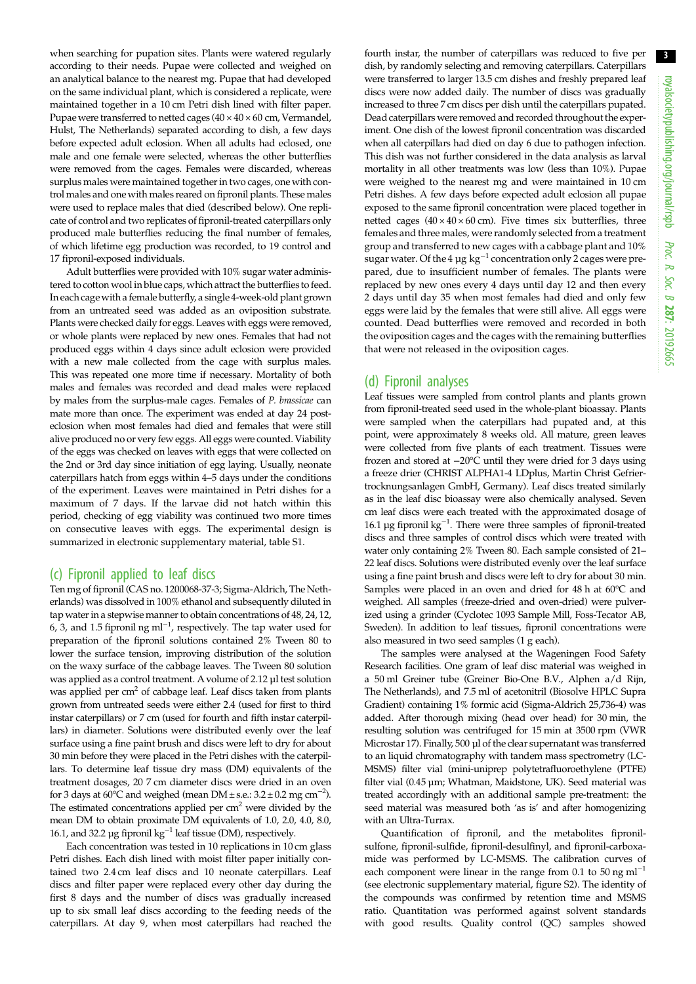when searching for pupation sites. Plants were watered regularly according to their needs. Pupae were collected and weighed on an analytical balance to the nearest mg. Pupae that had developed on the same individual plant, which is considered a replicate, were maintained together in a 10 cm Petri dish lined with filter paper. Pupae were transferred to netted cages  $(40 \times 40 \times 60 \text{ cm},$  Vermandel, Hulst, The Netherlands) separated according to dish, a few days before expected adult eclosion. When all adults had eclosed, one male and one female were selected, whereas the other butterflies were removed from the cages. Females were discarded, whereas surplus males were maintained together in two cages, one with control males and one with males reared on fipronil plants. These males were used to replace males that died (described below). One replicate of control and two replicates of fipronil-treated caterpillars only produced male butterflies reducing the final number of females, of which lifetime egg production was recorded, to 19 control and 17 fipronil-exposed individuals.

Adult butterflies were provided with 10% sugar water administered to cotton wool in blue caps, which attract the butterflies to feed. In each cagewith a female butterfly, a single 4-week-old plant grown from an untreated seed was added as an oviposition substrate. Plants were checked daily for eggs. Leaves with eggs were removed, or whole plants were replaced by new ones. Females that had not produced eggs within 4 days since adult eclosion were provided with a new male collected from the cage with surplus males. This was repeated one more time if necessary. Mortality of both males and females was recorded and dead males were replaced by males from the surplus-male cages. Females of P. brassicae can mate more than once. The experiment was ended at day 24 posteclosion when most females had died and females that were still alive produced no or very few eggs. All eggs were counted. Viability of the eggs was checked on leaves with eggs that were collected on the 2nd or 3rd day since initiation of egg laying. Usually, neonate caterpillars hatch from eggs within 4–5 days under the conditions of the experiment. Leaves were maintained in Petri dishes for a maximum of 7 days. If the larvae did not hatch within this period, checking of egg viability was continued two more times on consecutive leaves with eggs. The experimental design is summarized in electronic supplementary material, table S1.

#### (c) Fipronil applied to leaf discs

Ten mg of fipronil (CAS no. 1200068-37-3; Sigma-Aldrich, The Netherlands) was dissolved in 100% ethanol and subsequently diluted in tap water in a stepwise manner to obtain concentrations of 48, 24, 12, 6, 3, and 1.5 fipronil ng ml<sup>-1</sup>, respectively. The tap water used for preparation of the fipronil solutions contained 2% Tween 80 to lower the surface tension, improving distribution of the solution on the waxy surface of the cabbage leaves. The Tween 80 solution was applied as a control treatment. A volume of 2.12 µl test solution was applied per cm<sup>2</sup> of cabbage leaf. Leaf discs taken from plants grown from untreated seeds were either 2.4 (used for first to third instar caterpillars) or 7 cm (used for fourth and fifth instar caterpillars) in diameter. Solutions were distributed evenly over the leaf surface using a fine paint brush and discs were left to dry for about 30 min before they were placed in the Petri dishes with the caterpillars. To determine leaf tissue dry mass (DM) equivalents of the treatment dosages, 20 7 cm diameter discs were dried in an oven for 3 days at 60 $^{\circ}$ C and weighed (mean DM ± s.e.: 3.2 ± 0.2 mg cm<sup>-2</sup>). The estimated concentrations applied per  $cm<sup>2</sup>$  were divided by the mean DM to obtain proximate DM equivalents of 1.0, 2.0, 4.0, 8.0, 16.1, and 32.2 µg fipronil kg−<sup>1</sup> leaf tissue (DM), respectively.

Each concentration was tested in 10 replications in 10 cm glass Petri dishes. Each dish lined with moist filter paper initially contained two 2.4 cm leaf discs and 10 neonate caterpillars. Leaf discs and filter paper were replaced every other day during the first 8 days and the number of discs was gradually increased up to six small leaf discs according to the feeding needs of the caterpillars. At day 9, when most caterpillars had reached the fourth instar, the number of caterpillars was reduced to five per dish, by randomly selecting and removing caterpillars. Caterpillars were transferred to larger 13.5 cm dishes and freshly prepared leaf discs were now added daily. The number of discs was gradually increased to three 7 cm discs per dish until the caterpillars pupated. Dead caterpillars were removed and recorded throughout the experiment. One dish of the lowest fipronil concentration was discarded when all caterpillars had died on day 6 due to pathogen infection. This dish was not further considered in the data analysis as larval mortality in all other treatments was low (less than 10%). Pupae were weighed to the nearest mg and were maintained in 10 cm Petri dishes. A few days before expected adult eclosion all pupae exposed to the same fipronil concentration were placed together in netted cages  $(40 \times 40 \times 60 \text{ cm})$ . Five times six butterflies, three females and three males, were randomly selected from a treatment group and transferred to new cages with a cabbage plant and 10% sugar water. Of the 4 µg  $kg^{-1}$  concentration only 2 cages were prepared, due to insufficient number of females. The plants were replaced by new ones every 4 days until day 12 and then every 2 days until day 35 when most females had died and only few eggs were laid by the females that were still alive. All eggs were counted. Dead butterflies were removed and recorded in both the oviposition cages and the cages with the remaining butterflies that were not released in the oviposition cages.

#### (d) Fipronil analyses

Leaf tissues were sampled from control plants and plants grown from fipronil-treated seed used in the whole-plant bioassay. Plants were sampled when the caterpillars had pupated and, at this point, were approximately 8 weeks old. All mature, green leaves were collected from five plants of each treatment. Tissues were frozen and stored at −20°C until they were dried for 3 days using a freeze drier (CHRIST ALPHA1-4 LDplus, Martin Christ Gefriertrocknungsanlagen GmbH, Germany). Leaf discs treated similarly as in the leaf disc bioassay were also chemically analysed. Seven cm leaf discs were each treated with the approximated dosage of 16.1 µg fipronil kg−<sup>1</sup> . There were three samples of fipronil-treated discs and three samples of control discs which were treated with water only containing 2% Tween 80. Each sample consisted of 21– 22 leaf discs. Solutions were distributed evenly over the leaf surface using a fine paint brush and discs were left to dry for about 30 min. Samples were placed in an oven and dried for 48 h at 60°C and weighed. All samples (freeze-dried and oven-dried) were pulverized using a grinder (Cyclotec 1093 Sample Mill, Foss-Tecator AB, Sweden). In addition to leaf tissues, fipronil concentrations were also measured in two seed samples (1 g each).

The samples were analysed at the Wageningen Food Safety Research facilities. One gram of leaf disc material was weighed in a 50 ml Greiner tube (Greiner Bio-One B.V., Alphen a/d Rijn, The Netherlands), and 7.5 ml of acetonitril (Biosolve HPLC Supra Gradient) containing 1% formic acid (Sigma-Aldrich 25,736-4) was added. After thorough mixing (head over head) for 30 min, the resulting solution was centrifuged for 15 min at 3500 rpm (VWR Microstar 17). Finally, 500 µl of the clear supernatant was transferred to an liquid chromatography with tandem mass spectrometry (LC-MSMS) filter vial (mini-uniprep polytetrafluoroethylene (PTFE) filter vial (0.45 µm; Whatman, Maidstone, UK). Seed material was treated accordingly with an additional sample pre-treatment: the seed material was measured both 'as is' and after homogenizing with an Ultra-Turrax.

Quantification of fipronil, and the metabolites fipronilsulfone, fipronil-sulfide, fipronil-desulfinyl, and fipronil-carboxamide was performed by LC-MSMS. The calibration curves of each component were linear in the range from 0.1 to 50 ng ml<sup>-1</sup> (see electronic supplementary material, figure S2). The identity of the compounds was confirmed by retention time and MSMS ratio. Quantitation was performed against solvent standards with good results. Quality control (QC) samples showed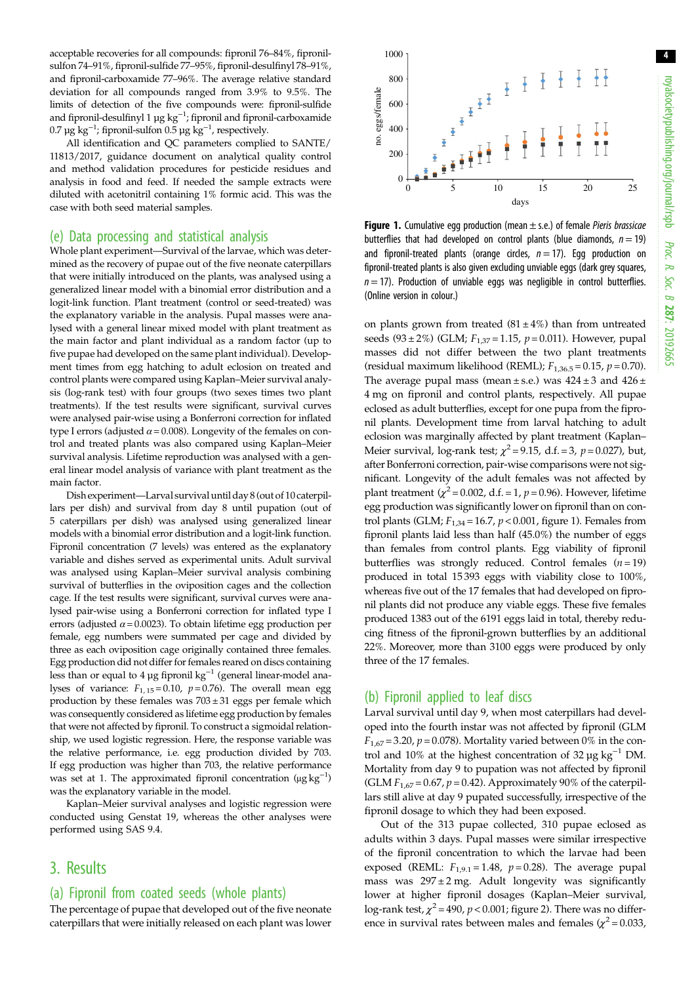4

acceptable recoveries for all compounds: fipronil 76–84%, fipronilsulfon 74–91%, fipronil-sulfide 77–95%, fipronil-desulfinyl 78–91%, and fipronil-carboxamide 77–96%. The average relative standard deviation for all compounds ranged from 3.9% to 9.5%. The limits of detection of the five compounds were: fipronil-sulfide and fipronil-desulfinyl 1  $\mu$ g kg $^{-1}$ ; fipronil and fipronil-carboxamide 0.7 µg kg $^{-1}$ ; fipronil-sulfon 0.5 µg kg $^{-1}$ , respectively.

All identification and QC parameters complied to SANTE/ 11813/2017, guidance document on analytical quality control and method validation procedures for pesticide residues and analysis in food and feed. If needed the sample extracts were diluted with acetonitril containing 1% formic acid. This was the case with both seed material samples.

#### (e) Data processing and statistical analysis

Whole plant experiment—Survival of the larvae, which was determined as the recovery of pupae out of the five neonate caterpillars that were initially introduced on the plants, was analysed using a generalized linear model with a binomial error distribution and a logit-link function. Plant treatment (control or seed-treated) was the explanatory variable in the analysis. Pupal masses were analysed with a general linear mixed model with plant treatment as the main factor and plant individual as a random factor (up to five pupae had developed on the same plant individual). Development times from egg hatching to adult eclosion on treated and control plants were compared using Kaplan–Meier survival analysis (log-rank test) with four groups (two sexes times two plant treatments). If the test results were significant, survival curves were analysed pair-wise using a Bonferroni correction for inflated type I errors (adjusted  $\alpha$  = 0.008). Longevity of the females on control and treated plants was also compared using Kaplan–Meier survival analysis. Lifetime reproduction was analysed with a general linear model analysis of variance with plant treatment as the main factor.

Dish experiment—Larval survival until day 8 (out of 10 caterpillars per dish) and survival from day 8 until pupation (out of 5 caterpillars per dish) was analysed using generalized linear models with a binomial error distribution and a logit-link function. Fipronil concentration (7 levels) was entered as the explanatory variable and dishes served as experimental units. Adult survival was analysed using Kaplan–Meier survival analysis combining survival of butterflies in the oviposition cages and the collection cage. If the test results were significant, survival curves were analysed pair-wise using a Bonferroni correction for inflated type I errors (adjusted  $\alpha$  = 0.0023). To obtain lifetime egg production per female, egg numbers were summated per cage and divided by three as each oviposition cage originally contained three females. Egg production did not differ for females reared on discs containing less than or equal to 4 μg fipronil kg<sup>-1</sup> (general linear-model analyses of variance:  $F_{1,15} = 0.10$ ,  $p = 0.76$ ). The overall mean egg production by these females was  $703 \pm 31$  eggs per female which was consequently considered as lifetime egg production by females that were not affected by fipronil. To construct a sigmoidal relationship, we used logistic regression. Here, the response variable was the relative performance, i.e. egg production divided by 703. If egg production was higher than 703, the relative performance was set at 1. The approximated fipronil concentration  $(\mu g kg^{-1})$ was the explanatory variable in the model.

Kaplan–Meier survival analyses and logistic regression were conducted using Genstat 19, whereas the other analyses were performed using SAS 9.4.

## 3. Results

## (a) Fipronil from coated seeds (whole plants)

The percentage of pupae that developed out of the five neonate caterpillars that were initially released on each plant was lower



**Figure 1.** Cumulative egg production (mean  $\pm$  s.e.) of female *Pieris brassicae* butterflies that had developed on control plants (blue diamonds,  $n = 19$ ) and fipronil-treated plants (orange circles,  $n = 17$ ). Egg production on fipronil-treated plants is also given excluding unviable eggs (dark grey squares,  $n = 17$ ). Production of unviable eggs was negligible in control butterflies. (Online version in colour.)

on plants grown from treated  $(81 \pm 4\%)$  than from untreated seeds (93 ± 2%) (GLM;  $F_{1,37} = 1.15$ ,  $p = 0.011$ ). However, pupal masses did not differ between the two plant treatments (residual maximum likelihood (REML);  $F_{1,36.5} = 0.15$ ,  $p = 0.70$ ). The average pupal mass (mean  $\pm$  s.e.) was  $424 \pm 3$  and  $426 \pm$ 4 mg on fipronil and control plants, respectively. All pupae eclosed as adult butterflies, except for one pupa from the fipronil plants. Development time from larval hatching to adult eclosion was marginally affected by plant treatment (Kaplan– Meier survival, log-rank test;  $\chi^2$  = 9.15, d.f. = 3, p = 0.027), but, after Bonferroni correction, pair-wise comparisons were not significant. Longevity of the adult females was not affected by plant treatment  $(\chi^2 = 0.002, d.f. = 1, p = 0.96)$ . However, lifetime egg production was significantly lower on fipronil than on control plants (GLM;  $F_{1,34}$  = 16.7,  $p$  < 0.001, figure 1). Females from fipronil plants laid less than half (45.0%) the number of eggs than females from control plants. Egg viability of fipronil butterflies was strongly reduced. Control females  $(n = 19)$ produced in total 15 393 eggs with viability close to 100%, whereas five out of the 17 females that had developed on fipronil plants did not produce any viable eggs. These five females produced 1383 out of the 6191 eggs laid in total, thereby reducing fitness of the fipronil-grown butterflies by an additional 22%. Moreover, more than 3100 eggs were produced by only three of the 17 females.

#### (b) Fipronil applied to leaf discs

Larval survival until day 9, when most caterpillars had developed into the fourth instar was not affected by fipronil (GLM  $F_{1.67}$  = 3.20,  $p$  = 0.078). Mortality varied between 0% in the control and 10% at the highest concentration of 32  $\mu$ g kg<sup>-1</sup> DM. Mortality from day 9 to pupation was not affected by fipronil (GLM  $F_{1.67}$  = 0.67, p = 0.42). Approximately 90% of the caterpillars still alive at day 9 pupated successfully, irrespective of the fipronil dosage to which they had been exposed.

Out of the 313 pupae collected, 310 pupae eclosed as adults within 3 days. Pupal masses were similar irrespective of the fipronil concentration to which the larvae had been exposed (REML:  $F_{1,9.1} = 1.48$ ,  $p = 0.28$ ). The average pupal mass was  $297 \pm 2$  mg. Adult longevity was significantly lower at higher fipronil dosages (Kaplan–Meier survival, log-rank test,  $\chi^2$  = 490,  $p$  < 0.001; [figure 2](#page-5-0)). There was no difference in survival rates between males and females ( $\chi^2$  = 0.033,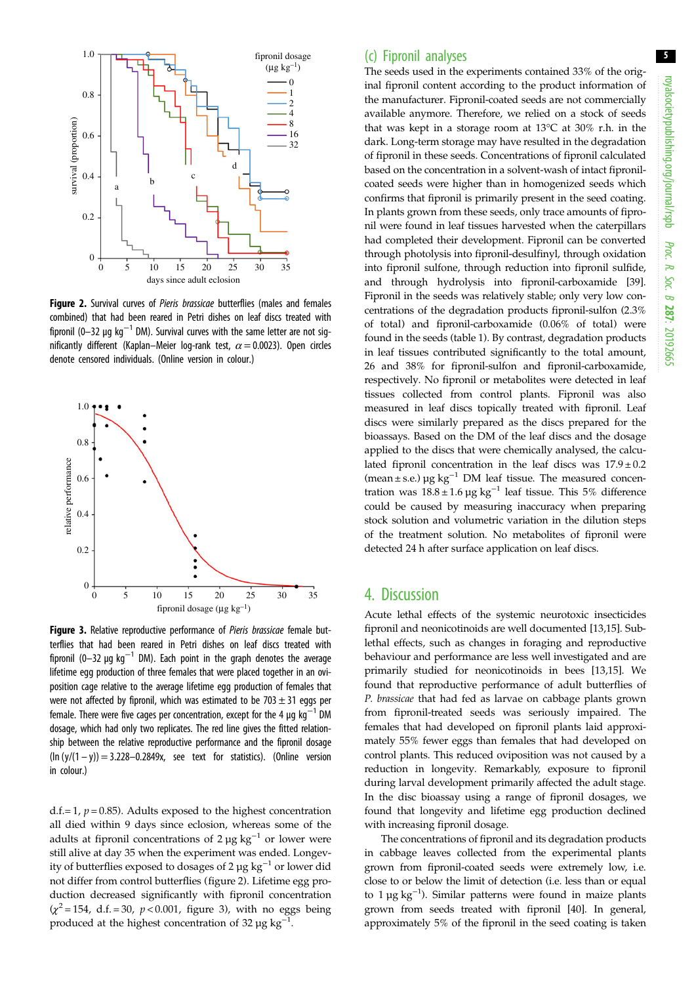5

<span id="page-5-0"></span>

Figure 2. Survival curves of Pieris brassicae butterflies (males and females combined) that had been reared in Petri dishes on leaf discs treated with fipronil (0–32 µg kg<sup>-1</sup> DM). Survival curves with the same letter are not significantly different (Kaplan–Meier log-rank test,  $\alpha$  = 0.0023). Open circles denote censored individuals. (Online version in colour.)



Figure 3. Relative reproductive performance of Pieris brassicae female butterflies that had been reared in Petri dishes on leaf discs treated with fipronil (0–32 µg kg<sup>-1</sup> DM). Each point in the graph denotes the average lifetime egg production of three females that were placed together in an oviposition cage relative to the average lifetime egg production of females that were not affected by fipronil, which was estimated to be  $703 \pm 31$  eggs per female. There were five cages per concentration, except for the 4  $\mu$ g kg<sup>-1</sup> DM dosage, which had only two replicates. The red line gives the fitted relationship between the relative reproductive performance and the fipronil dosage  $(ln (y/(1 - y)) = 3.228 - 0.2849x$ , see text for statistics). (Online version in colour.)

d.f.= 1,  $p = 0.85$ ). Adults exposed to the highest concentration all died within 9 days since eclosion, whereas some of the adults at fipronil concentrations of 2  $\mu$ g kg<sup>-1</sup> or lower were still alive at day 35 when the experiment was ended. Longevity of butterflies exposed to dosages of 2 µg  $kg^{-1}$  or lower did not differ from control butterflies (figure 2). Lifetime egg production decreased significantly with fipronil concentration  $(x^2 = 154, d.f. = 30, p < 0.001, figure 3)$ , with no eggs being produced at the highest concentration of 32  $\mu$ g kg<sup>-1</sup>.

#### (c) Fipronil analyses

The seeds used in the experiments contained 33% of the original fipronil content according to the product information of the manufacturer. Fipronil-coated seeds are not commercially available anymore. Therefore, we relied on a stock of seeds that was kept in a storage room at 13°C at 30% r.h. in the dark. Long-term storage may have resulted in the degradation of fipronil in these seeds. Concentrations of fipronil calculated based on the concentration in a solvent-wash of intact fipronilcoated seeds were higher than in homogenized seeds which confirms that fipronil is primarily present in the seed coating. In plants grown from these seeds, only trace amounts of fipronil were found in leaf tissues harvested when the caterpillars had completed their development. Fipronil can be converted through photolysis into fipronil-desulfinyl, through oxidation into fipronil sulfone, through reduction into fipronil sulfide, and through hydrolysis into fipronil-carboxamide [[39\]](#page-8-0). Fipronil in the seeds was relatively stable; only very low concentrations of the degradation products fipronil-sulfon (2.3% of total) and fipronil-carboxamide (0.06% of total) were found in the seeds [\(table 1\)](#page-6-0). By contrast, degradation products in leaf tissues contributed significantly to the total amount, 26 and 38% for fipronil-sulfon and fipronil-carboxamide, respectively. No fipronil or metabolites were detected in leaf tissues collected from control plants. Fipronil was also measured in leaf discs topically treated with fipronil. Leaf discs were similarly prepared as the discs prepared for the bioassays. Based on the DM of the leaf discs and the dosage applied to the discs that were chemically analysed, the calculated fipronil concentration in the leaf discs was  $17.9 \pm 0.2$ (mean ± s.e.)  $\mu$ g kg<sup>-1</sup> DM leaf tissue. The measured concentration was  $18.8 \pm 1.6$  µg kg<sup>-1</sup> leaf tissue. This 5% difference could be caused by measuring inaccuracy when preparing stock solution and volumetric variation in the dilution steps of the treatment solution. No metabolites of fipronil were detected 24 h after surface application on leaf discs.

### 4. Discussion

Acute lethal effects of the systemic neurotoxic insecticides fipronil and neonicotinoids are well documented [\[13](#page-7-0),[15](#page-7-0)]. Sublethal effects, such as changes in foraging and reproductive behaviour and performance are less well investigated and are primarily studied for neonicotinoids in bees [[13,15](#page-7-0)]. We found that reproductive performance of adult butterflies of P. brassicae that had fed as larvae on cabbage plants grown from fipronil-treated seeds was seriously impaired. The females that had developed on fipronil plants laid approximately 55% fewer eggs than females that had developed on control plants. This reduced oviposition was not caused by a reduction in longevity. Remarkably, exposure to fipronil during larval development primarily affected the adult stage. In the disc bioassay using a range of fipronil dosages, we found that longevity and lifetime egg production declined with increasing fipronil dosage.

The concentrations of fipronil and its degradation products in cabbage leaves collected from the experimental plants grown from fipronil-coated seeds were extremely low, i.e. close to or below the limit of detection (i.e. less than or equal to 1 µg kg−<sup>1</sup> ). Similar patterns were found in maize plants grown from seeds treated with fipronil [\[40](#page-8-0)]. In general, approximately 5% of the fipronil in the seed coating is taken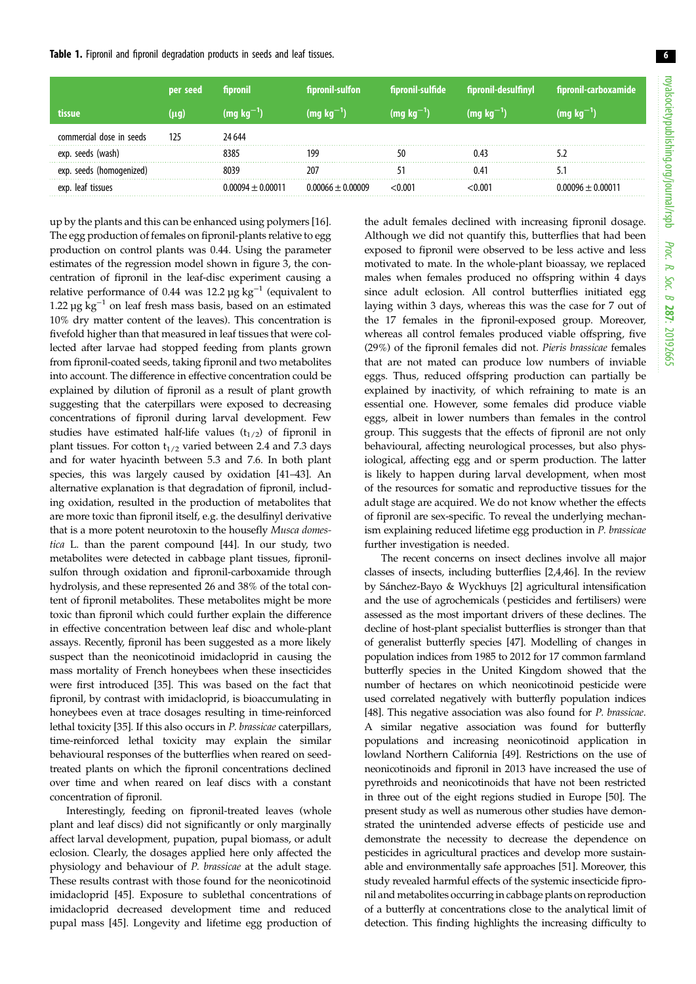<span id="page-6-0"></span>

|                          | per seed  | fipronil          | fipronil-sulfon     | fipronil-sulfide | fipronil-desulfinyl | fipronil-carboxamide     |
|--------------------------|-----------|-------------------|---------------------|------------------|---------------------|--------------------------|
| tissue                   | $(\mu q)$ | $(mq kq^{-1})$    | $(mq kq^-')$        | $(mq kq^-')$     | $(mg kg^{-1})$      | $(mq kq$ <sup>-'</sup> ) |
| commercial dose in seeds | 125       | 24 644            |                     |                  |                     |                          |
| exp. seeds (wash)        |           | 8385              | 199                 |                  | 0.43                |                          |
| exp. seeds (homogenized) |           | 8039              | 207                 |                  | 0.41                |                          |
| exp. leaf tissues        |           | ) 00094 + 0 00011 | $0.00066 + 0.00009$ |                  | 001 - 0             | $0.00096 + 0.00011$      |

up by the plants and this can be enhanced using polymers [\[16](#page-7-0)]. The egg production of females on fipronil-plants relative to egg production on control plants was 0.44. Using the parameter estimates of the regression model shown in [figure 3,](#page-5-0) the concentration of fipronil in the leaf-disc experiment causing a relative performance of 0.44 was 12.2 µg kg<sup>-1</sup> (equivalent to 1.22  $\mu$ g kg<sup>-1</sup> on leaf fresh mass basis, based on an estimated 10% dry matter content of the leaves). This concentration is fivefold higher than that measured in leaf tissues that were collected after larvae had stopped feeding from plants grown from fipronil-coated seeds, taking fipronil and two metabolites into account. The difference in effective concentration could be explained by dilution of fipronil as a result of plant growth suggesting that the caterpillars were exposed to decreasing concentrations of fipronil during larval development. Few studies have estimated half-life values  $(t_{1/2})$  of fipronil in plant tissues. For cotton  $t_{1/2}$  varied between 2.4 and 7.3 days and for water hyacinth between 5.3 and 7.6. In both plant species, this was largely caused by oxidation [\[41](#page-8-0)–[43](#page-8-0)]. An alternative explanation is that degradation of fipronil, including oxidation, resulted in the production of metabolites that are more toxic than fipronil itself, e.g. the desulfinyl derivative that is a more potent neurotoxin to the housefly Musca domestica L. than the parent compound [\[44\]](#page-8-0). In our study, two metabolites were detected in cabbage plant tissues, fipronilsulfon through oxidation and fipronil-carboxamide through hydrolysis, and these represented 26 and 38% of the total content of fipronil metabolites. These metabolites might be more toxic than fipronil which could further explain the difference in effective concentration between leaf disc and whole-plant assays. Recently, fipronil has been suggested as a more likely suspect than the neonicotinoid imidacloprid in causing the mass mortality of French honeybees when these insecticides were first introduced [\[35](#page-8-0)]. This was based on the fact that fipronil, by contrast with imidacloprid, is bioaccumulating in honeybees even at trace dosages resulting in time-reinforced lethal toxicity [\[35](#page-8-0)]. If this also occurs in P. brassicae caterpillars, time-reinforced lethal toxicity may explain the similar behavioural responses of the butterflies when reared on seedtreated plants on which the fipronil concentrations declined over time and when reared on leaf discs with a constant concentration of fipronil.

Interestingly, feeding on fipronil-treated leaves (whole plant and leaf discs) did not significantly or only marginally affect larval development, pupation, pupal biomass, or adult eclosion. Clearly, the dosages applied here only affected the physiology and behaviour of P. brassicae at the adult stage. These results contrast with those found for the neonicotinoid imidacloprid [[45\]](#page-8-0). Exposure to sublethal concentrations of imidacloprid decreased development time and reduced pupal mass [[45](#page-8-0)]. Longevity and lifetime egg production of

the adult females declined with increasing fipronil dosage. Although we did not quantify this, butterflies that had been exposed to fipronil were observed to be less active and less motivated to mate. In the whole-plant bioassay, we replaced males when females produced no offspring within 4 days since adult eclosion. All control butterflies initiated egg laying within 3 days, whereas this was the case for 7 out of the 17 females in the fipronil-exposed group. Moreover, whereas all control females produced viable offspring, five (29%) of the fipronil females did not. Pieris brassicae females that are not mated can produce low numbers of inviable eggs. Thus, reduced offspring production can partially be explained by inactivity, of which refraining to mate is an essential one. However, some females did produce viable eggs, albeit in lower numbers than females in the control group. This suggests that the effects of fipronil are not only behavioural, affecting neurological processes, but also physiological, affecting egg and or sperm production. The latter is likely to happen during larval development, when most of the resources for somatic and reproductive tissues for the adult stage are acquired. We do not know whether the effects of fipronil are sex-specific. To reveal the underlying mechanism explaining reduced lifetime egg production in P. brassicae further investigation is needed.

The recent concerns on insect declines involve all major classes of insects, including butterflies [\[2](#page-7-0),[4](#page-7-0)[,46](#page-8-0)]. In the review by Sánchez-Bayo & Wyckhuys [[2](#page-7-0)] agricultural intensification and the use of agrochemicals (pesticides and fertilisers) were assessed as the most important drivers of these declines. The decline of host-plant specialist butterflies is stronger than that of generalist butterfly species [\[47](#page-8-0)]. Modelling of changes in population indices from 1985 to 2012 for 17 common farmland butterfly species in the United Kingdom showed that the number of hectares on which neonicotinoid pesticide were used correlated negatively with butterfly population indices [[48](#page-8-0)]. This negative association was also found for P. brassicae. A similar negative association was found for butterfly populations and increasing neonicotinoid application in lowland Northern California [\[49](#page-8-0)]. Restrictions on the use of neonicotinoids and fipronil in 2013 have increased the use of pyrethroids and neonicotinoids that have not been restricted in three out of the eight regions studied in Europe [[50\]](#page-8-0). The present study as well as numerous other studies have demonstrated the unintended adverse effects of pesticide use and demonstrate the necessity to decrease the dependence on pesticides in agricultural practices and develop more sustainable and environmentally safe approaches [[51](#page-8-0)]. Moreover, this study revealed harmful effects of the systemic insecticide fipronil and metabolites occurring in cabbage plants on reproduction of a butterfly at concentrations close to the analytical limit of detection. This finding highlights the increasing difficulty to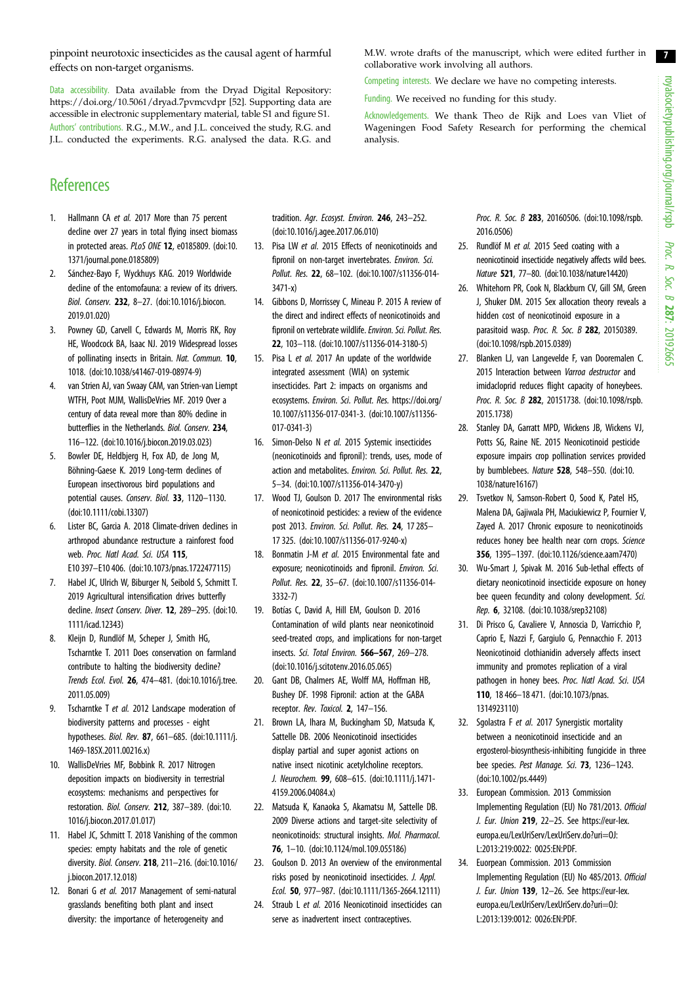royalsocietypublishing.org/journal/rspb royalsocietypublishing.org/journal/rspb Proc. R. Soc. $\sigma$ 287: 20192665

7

<span id="page-7-0"></span>pinpoint neurotoxic insecticides as the causal agent of harmful effects on non-target organisms.

Data accessibility. Data available from the Dryad Digital Repository: <https://doi.org/10.5061/dryad.7pvmcvdpr> [[52](#page-8-0)]. Supporting data are accessible in electronic supplementary material, table S1 and figure S1. Authors' contributions. R.G., M.W., and J.L. conceived the study, R.G. and J.L. conducted the experiments. R.G. analysed the data. R.G. and

# **References**

- 1. Hallmann CA et al. 2017 More than 75 percent decline over 27 years in total flying insect biomass in protected areas. PLoS ONE 12, e0185809. ([doi:10.](http://dx.doi.org/10.1371/journal.pone.0185809) [1371/journal.pone.0185809\)](http://dx.doi.org/10.1371/journal.pone.0185809)
- 2. Sánchez-Bayo F, Wyckhuys KAG. 2019 Worldwide decline of the entomofauna: a review of its drivers. Biol. Conserv. 232, 8–27. ([doi:10.1016/j.biocon.](http://dx.doi.org/10.1016/j.biocon.2019.01.020) [2019.01.020\)](http://dx.doi.org/10.1016/j.biocon.2019.01.020)
- 3. Powney GD, Carvell C, Edwards M, Morris RK, Roy HE, Woodcock BA, Isaac NJ. 2019 Widespread losses of pollinating insects in Britain. Nat. Commun. 10, 1018. ([doi:10.1038/s41467-019-08974-9](http://dx.doi.org/10.1038/s41467-019-08974-9))
- 4. van Strien AJ, van Swaay CAM, van Strien-van Liempt WTFH, Poot MJM, WallisDeVries MF. 2019 Over a century of data reveal more than 80% decline in butterflies in the Netherlands. Biol. Conserv. 234, 116–122. ([doi:10.1016/j.biocon.2019.03.023\)](http://dx.doi.org/10.1016/j.biocon.2019.03.023)
- 5. Bowler DE, Heldbjerg H, Fox AD, de Jong M, Böhning-Gaese K. 2019 Long-term declines of European insectivorous bird populations and potential causes. Conserv. Biol. 33, 1120–1130. [\(doi:10.1111/cobi.13307\)](http://dx.doi.org/10.1111/cobi.13307)
- 6. Lister BC, Garcia A. 2018 Climate-driven declines in arthropod abundance restructure a rainforest food web. Proc. Natl Acad. Sci. USA 115, E10 397–E10 406. [\(doi:10.1073/pnas.1722477115](http://dx.doi.org/10.1073/pnas.1722477115))
- 7. Habel JC, Ulrich W, Biburger N, Seibold S, Schmitt T. 2019 Agricultural intensification drives butterfly decline. Insect Conserv. Diver. 12, 289–295. ([doi:10.](http://dx.doi.org/10.1111/icad.12343) [1111/icad.12343\)](http://dx.doi.org/10.1111/icad.12343)
- 8. Kleijn D, Rundlöf M, Scheper J, Smith HG, Tscharntke T. 2011 Does conservation on farmland contribute to halting the biodiversity decline? Trends Ecol. Evol. 26, 474–481. ([doi:10.1016/j.tree.](http://dx.doi.org/10.1016/j.tree.2011.05.009) [2011.05.009\)](http://dx.doi.org/10.1016/j.tree.2011.05.009)
- 9. Tscharntke T et al. 2012 Landscape moderation of biodiversity patterns and processes - eight hypotheses. Biol. Rev. 87, 661–685. [\(doi:10.1111/j.](http://dx.doi.org/10.1111/j.1469-185X.2011.00216.x) [1469-185X.2011.00216.x](http://dx.doi.org/10.1111/j.1469-185X.2011.00216.x))
- 10. WallisDeVries MF, Bobbink R. 2017 Nitrogen deposition impacts on biodiversity in terrestrial ecosystems: mechanisms and perspectives for restoration. Biol. Conserv. 212, 387–389. [\(doi:10.](http://dx.doi.org/10.1016/j.biocon.2017.01.017) [1016/j.biocon.2017.01.017\)](http://dx.doi.org/10.1016/j.biocon.2017.01.017)
- 11. Habel JC, Schmitt T. 2018 Vanishing of the common species: empty habitats and the role of genetic diversity. Biol. Conserv. 218, 211–216. ([doi:10.1016/](http://dx.doi.org/10.1016/j.biocon.2017.12.018) [j.biocon.2017.12.018\)](http://dx.doi.org/10.1016/j.biocon.2017.12.018)
- 12. Bonari G et al. 2017 Management of semi-natural grasslands benefiting both plant and insect diversity: the importance of heterogeneity and

tradition. Agr. Ecosyst. Environ. 246, 243–252. [\(doi:10.1016/j.agee.2017.06.010\)](http://dx.doi.org/10.1016/j.agee.2017.06.010)

- 13. Pisa LW et al. 2015 Effects of neonicotinoids and fipronil on non-target invertebrates. Environ. Sci. Pollut. Res. 22, 68–102. [\(doi:10.1007/s11356-014-](http://dx.doi.org/10.1007/s11356-014-3471-x) [3471-x\)](http://dx.doi.org/10.1007/s11356-014-3471-x)
- 14. Gibbons D, Morrissey C, Mineau P. 2015 A review of the direct and indirect effects of neonicotinoids and fipronil on vertebrate wildlife. Environ. Sci. Pollut. Res. 22, 103–118. [\(doi:10.1007/s11356-014-3180-5\)](http://dx.doi.org/10.1007/s11356-014-3180-5)
- 15. Pisa L et al. 2017 An update of the worldwide integrated assessment (WIA) on systemic insecticides. Part 2: impacts on organisms and ecosystems. Environ. Sci. Pollut. Res. [https://doi.org/](https://doi.org/10.1007/s11356-017-0341-3) [10.1007/s11356-017-0341-3.](https://doi.org/10.1007/s11356-017-0341-3) ([doi:10.1007/s11356-](http://dx.doi.org/10.1007/s11356-017-0341-3) [017-0341-3\)](http://dx.doi.org/10.1007/s11356-017-0341-3)
- 16. Simon-Delso N et al. 2015 Systemic insecticides (neonicotinoids and fipronil): trends, uses, mode of action and metabolites. Environ. Sci. Pollut. Res. 22, 5–34. [\(doi:10.1007/s11356-014-3470-y](http://dx.doi.org/10.1007/s11356-014-3470-y))
- 17. Wood TJ, Goulson D. 2017 The environmental risks of neonicotinoid pesticides: a review of the evidence post 2013. Environ. Sci. Pollut. Res. 24, 17 285– 17 325. [\(doi:10.1007/s11356-017-9240-x](http://dx.doi.org/10.1007/s11356-017-9240-x))
- 18. Bonmatin J-M et al. 2015 Environmental fate and exposure; neonicotinoids and fipronil. Environ. Sci. Pollut. Res. 22, 35–67. ([doi:10.1007/s11356-014-](http://dx.doi.org/10.1007/s11356-014-3332-7) [3332-7](http://dx.doi.org/10.1007/s11356-014-3332-7))
- 19. Botías C, David A, Hill EM, Goulson D. 2016 Contamination of wild plants near neonicotinoid seed-treated crops, and implications for non-target insects. Sci. Total Environ. 566–567, 269–278. [\(doi:10.1016/j.scitotenv.2016.05.065\)](http://dx.doi.org/10.1016/j.scitotenv.2016.05.065)
- 20. Gant DB, Chalmers AE, Wolff MA, Hoffman HB, Bushey DF. 1998 Fipronil: action at the GABA receptor. Rev. Toxicol. 2, 147–156.
- 21. Brown LA, Ihara M, Buckingham SD, Matsuda K, Sattelle DB. 2006 Neonicotinoid insecticides display partial and super agonist actions on native insect nicotinic acetylcholine receptors. J. Neurochem. 99, 608–615. [\(doi:10.1111/j.1471-](http://dx.doi.org/10.1111/j.1471-4159.2006.04084.x) [4159.2006.04084.x\)](http://dx.doi.org/10.1111/j.1471-4159.2006.04084.x)
- 22. Matsuda K, Kanaoka S, Akamatsu M, Sattelle DB. 2009 Diverse actions and target-site selectivity of neonicotinoids: structural insights. Mol. Pharmacol. 76, 1–10. ([doi:10.1124/mol.109.055186](http://dx.doi.org/10.1124/mol.109.055186))
- 23. Goulson D. 2013 An overview of the environmental risks posed by neonicotinoid insecticides. J. Appl. Ecol. 50, 977–987. ([doi:10.1111/1365-2664.12111](http://dx.doi.org/10.1111/1365-2664.12111))
- 24. Straub L et al. 2016 Neonicotinoid insecticides can serve as inadvertent insect contraceptives.

Proc. R. Soc. B 283, 20160506. ([doi:10.1098/rspb.](http://dx.doi.org/10.1098/rspb.2016.0506) [2016.0506](http://dx.doi.org/10.1098/rspb.2016.0506))

- 25. Rundlöf M et al. 2015 Seed coating with a neonicotinoid insecticide negatively affects wild bees. Nature 521, 77–80. [\(doi:10.1038/nature14420](http://dx.doi.org/10.1038/nature14420))
- 26. Whitehorn PR, Cook N, Blackburn CV, Gill SM, Green J, Shuker DM. 2015 Sex allocation theory reveals a hidden cost of neonicotinoid exposure in a parasitoid wasp. Proc. R. Soc. B 282, 20150389. ([doi:10.1098/rspb.2015.0389\)](http://dx.doi.org/10.1098/rspb.2015.0389)
- 27. Blanken LJ, van Langevelde F, van Dooremalen C. 2015 Interaction between Varroa destructor and imidacloprid reduces flight capacity of honeybees. Proc. R. Soc. B 282, 20151738. ([doi:10.1098/rspb.](http://dx.doi.org/10.1098/rspb.2015.1738) [2015.1738](http://dx.doi.org/10.1098/rspb.2015.1738))
- 28. Stanley DA, Garratt MPD, Wickens JB, Wickens VJ, Potts SG, Raine NE. 2015 Neonicotinoid pesticide exposure impairs crop pollination services provided by bumblebees. Nature 528, 548–550. [\(doi:10.](http://dx.doi.org/10.1038/nature16167) [1038/nature16167](http://dx.doi.org/10.1038/nature16167))
- 29. Tsvetkov N, Samson-Robert O, Sood K, Patel HS, Malena DA, Gajiwala PH, Maciukiewicz P, Fournier V, Zayed A. 2017 Chronic exposure to neonicotinoids reduces honey bee health near corn crops. Science 356, 1395–1397. [\(doi:10.1126/science.aam7470\)](http://dx.doi.org/10.1126/science.aam7470)
- 30. Wu-Smart J, Spivak M. 2016 Sub-lethal effects of dietary neonicotinoid insecticide exposure on honey bee queen fecundity and colony development. Sci. Rep. 6, 32108. [\(doi:10.1038/srep32108](http://dx.doi.org/10.1038/srep32108))
- 31. Di Prisco G, Cavaliere V, Annoscia D, Varricchio P, Caprio E, Nazzi F, Gargiulo G, Pennacchio F. 2013 Neonicotinoid clothianidin adversely affects insect immunity and promotes replication of a viral pathogen in honey bees. Proc. Natl Acad. Sci. USA 110, 18 466–18 471. ([doi:10.1073/pnas.](http://dx.doi.org/10.1073/pnas.1314923110) [1314923110](http://dx.doi.org/10.1073/pnas.1314923110))
- 32. Sgolastra F et al. 2017 Synergistic mortality between a neonicotinoid insecticide and an ergosterol-biosynthesis-inhibiting fungicide in three bee species. Pest Manage. Sci. 73, 1236-1243. ([doi:10.1002/ps.4449\)](http://dx.doi.org/10.1002/ps.4449)
- 33. European Commission. 2013 Commission Implementing Regulation (EU) No 781/2013. Official J. Eur. Union 219, 22–25. See [https://eur-lex.](https://eur-lex.europa.eu/LexUriServ/LexUriServ.do?uri=OJ:L:2013:219:0022:0025:EN:PDF) [europa.eu/LexUriServ/LexUriServ.do?uri=OJ:](https://eur-lex.europa.eu/LexUriServ/LexUriServ.do?uri=OJ:L:2013:219:0022:0025:EN:PDF) [L:2013:219:0022: 0025:EN:PDF.](https://eur-lex.europa.eu/LexUriServ/LexUriServ.do?uri=OJ:L:2013:219:0022:0025:EN:PDF)
- 34. Euorpean Commission. 2013 Commission Implementing Regulation (EU) No 485/2013. Official J. Eur. Union 139, 12–26. See [https://eur-lex.](https://eur-lex.europa.eu/LexUriServ/LexUriServ.do?uri=OJ:L:2013:139:0012:0026:EN:PDF) [europa.eu/LexUriServ/LexUriServ.do?uri=OJ:](https://eur-lex.europa.eu/LexUriServ/LexUriServ.do?uri=OJ:L:2013:139:0012:0026:EN:PDF) [L:2013:139:0012: 0026:EN:PDF.](https://eur-lex.europa.eu/LexUriServ/LexUriServ.do?uri=OJ:L:2013:139:0012:0026:EN:PDF)

M.W. wrote drafts of the manuscript, which were edited further in collaborative work involving all authors.

Competing interests. We declare we have no competing interests.

Funding. We received no funding for this study.

Acknowledgements. We thank Theo de Rijk and Loes van Vliet of Wageningen Food Safety Research for performing the chemical analysis.